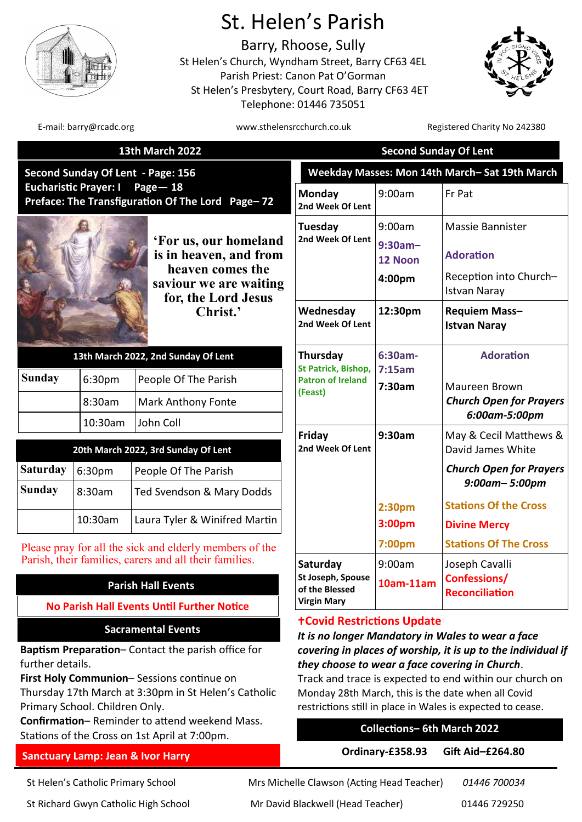

# St. Helen's Parish

Barry, Rhoose, Sully St Helen's Church, Wyndham Street, Barry CF63 4EL Parish Priest: Canon Pat O'Gorman St Helen's Presbytery, Court Road, Barry CF63 4ET Telephone: 01446 735051



E-mail: barry@rcadc.org www.sthelensrcchurch.co.uk Registered Charity No 242380

| <b>13th March 2022</b>                                                                                                              |         |                                                                                                                      | <b>Second Sunday Of Lent</b>                                                                                                                                                                                                                                        |                                           |                                                                                       |
|-------------------------------------------------------------------------------------------------------------------------------------|---------|----------------------------------------------------------------------------------------------------------------------|---------------------------------------------------------------------------------------------------------------------------------------------------------------------------------------------------------------------------------------------------------------------|-------------------------------------------|---------------------------------------------------------------------------------------|
| Second Sunday Of Lent - Page: 156<br><b>Eucharistic Prayer: I</b><br>Page $-18$<br>Preface: The Transfiguration Of The Lord Page-72 |         |                                                                                                                      | Weekday Masses: Mon 14th March-Sat 19th March                                                                                                                                                                                                                       |                                           |                                                                                       |
|                                                                                                                                     |         |                                                                                                                      | Monday<br>2nd Week Of Lent                                                                                                                                                                                                                                          | 9:00am                                    | Fr Pat                                                                                |
|                                                                                                                                     |         | 'For us, our homeland<br>is in heaven, and from<br>heaven comes the<br>saviour we are waiting<br>for, the Lord Jesus | Tuesday<br>2nd Week Of Lent                                                                                                                                                                                                                                         | 9:00am<br>$9:30am -$<br>12 Noon<br>4:00pm | Massie Bannister<br><b>Adoration</b><br>Reception into Church-<br><b>Istvan Naray</b> |
|                                                                                                                                     |         | Christ.'                                                                                                             | Wednesday<br>2nd Week Of Lent                                                                                                                                                                                                                                       | 12:30pm                                   | Requiem Mass-<br><b>Istvan Naray</b>                                                  |
|                                                                                                                                     |         | 13th March 2022, 2nd Sunday Of Lent                                                                                  | Thursday<br><b>St Patrick, Bishop,</b><br><b>Patron of Ireland</b>                                                                                                                                                                                                  | 6:30am-<br>7:15am<br>7:30am               | <b>Adoration</b>                                                                      |
| <b>Sunday</b>                                                                                                                       | 6:30pm  | People Of The Parish                                                                                                 |                                                                                                                                                                                                                                                                     |                                           | Maureen Brown                                                                         |
|                                                                                                                                     | 8:30am  | <b>Mark Anthony Fonte</b>                                                                                            | (Feast)                                                                                                                                                                                                                                                             |                                           | <b>Church Open for Prayers</b><br>6:00am-5:00pm                                       |
|                                                                                                                                     | 10:30am | John Coll                                                                                                            | Friday                                                                                                                                                                                                                                                              | 9:30am                                    | May & Cecil Matthews &                                                                |
|                                                                                                                                     |         | 20th March 2022, 3rd Sunday Of Lent                                                                                  | 2nd Week Of Lent                                                                                                                                                                                                                                                    |                                           | David James White                                                                     |
| <b>Saturday</b>                                                                                                                     | 6:30pm  | People Of The Parish                                                                                                 |                                                                                                                                                                                                                                                                     |                                           | <b>Church Open for Prayers</b>                                                        |
| <b>Sunday</b>                                                                                                                       | 8:30am  | Ted Svendson & Mary Dodds                                                                                            |                                                                                                                                                                                                                                                                     |                                           | $9:00$ am- $5:00$ pm                                                                  |
|                                                                                                                                     | 10:30am | Laura Tyler & Winifred Martin                                                                                        |                                                                                                                                                                                                                                                                     | 2:30pm<br>3:00pm                          | <b>Stations Of the Cross</b><br><b>Divine Mercy</b>                                   |
|                                                                                                                                     |         | Please pray for all the sick and elderly members of the                                                              |                                                                                                                                                                                                                                                                     | 7:00pm                                    | <b>Stations Of The Cross</b>                                                          |
| Parish, their families, carers and all their families.                                                                              |         |                                                                                                                      | Saturday<br>St Joseph, Spouse<br>of the Blessed                                                                                                                                                                                                                     | 9:00am                                    | Joseph Cavalli                                                                        |
| <b>Parish Hall Events</b>                                                                                                           |         |                                                                                                                      |                                                                                                                                                                                                                                                                     | $10am-11am$                               | <b>Confessions/</b><br><b>Reconciliation</b>                                          |
| <b>No Parish Hall Events Until Further Notice</b>                                                                                   |         |                                                                                                                      | <b>Virgin Mary</b>                                                                                                                                                                                                                                                  |                                           |                                                                                       |
|                                                                                                                                     |         | <b>Sacramental Events</b>                                                                                            | <b>+Covid Restrictions Update</b><br>It is no longer Mandatory in Wales to wear a face<br>covering in places of worship, it is up to the individual if<br>they choose to wear a face covering in Church.<br>Track and trace is expected to end within our church on |                                           |                                                                                       |
| further details.                                                                                                                    |         | Baptism Preparation- Contact the parish office for<br>First Holy Communion-Sessions continue on                      |                                                                                                                                                                                                                                                                     |                                           |                                                                                       |

Thursday 17th March at 3:30pm in St Helen's Catholic Primary School. Children Only.

**Confirmation**– Reminder to attend weekend Mass. Stations of the Cross on 1st April at 7:00pm.

## **Sanctuary Lamp: Jean & Ivor Harry**

St Helen's Catholic Primary School Mrs Michelle Clawson (Acting Head Teacher) *01446 700034*

St Richard Gwyn Catholic High School Mr David Blackwell (Head Teacher) 01446 729250

**Collections– 6th March 2022**

Monday 28th March, this is the date when all Covid restrictions still in place in Wales is expected to cease.

**Ordinary-£358.93 Gift Aid–£264.80**